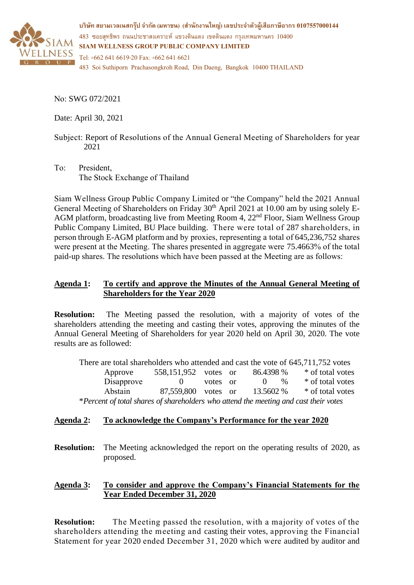

**บริษทั สยามเวลเนสกรุ๊ป จ ากัด (มหาชน) (ส านักงานใหญ่) เลขประจ าตัวผู้เสียภาษีอากร 0107557000144** 483 ซอยสุทธิพร ถนนประชาสงเคราะห์ แขวงดินแดง เขตดินแดง กรุงเทพมหานคร 10400 **SIAM WELLNESS GROUP PUBLIC COMPANY LIMITED** Tel: +662 641 6619-20 Fax: +662 641 6621

483 Soi Suthiporn Prachasongkroh Road, Din Daeng, Bangkok 10400 THAILAND

No: SWG 072/2021

Date: April 30, 2021

- Subject: Report of Resolutions of the Annual General Meeting of Shareholders for year 2021
- To: President, The Stock Exchange of Thailand

Siam Wellness Group Public Company Limited or "the Company" held the 2021 Annual General Meeting of Shareholders on Friday 30<sup>th</sup> April 2021 at 10.00 am by using solely E-AGM platform, broadcasting live from Meeting Room 4, 22nd Floor, Siam Wellness Group Public Company Limited, BU Place building. There were total of 287 shareholders, in person through E-AGM platform and by proxies, representing a total of 645,236,752 shares were present at the Meeting. The shares presented in aggregate were 75.4663% of the total paid-up shares. The resolutions which have been passed at the Meeting are as follows:

# **Agenda 1: To certify and approve the Minutes of the Annual General Meeting of Shareholders for the Year 2020**

**Resolution:** The Meeting passed the resolution, with a majority of votes of the shareholders attending the meeting and casting their votes, approving the minutes of the Annual General Meeting of Shareholders for year 2020 held on April 30, 2020. The vote results are as followed:

There are total shareholders who attended and cast the vote of 645,711,752 votes Approve 558,151,952 votes or 86.4398 % \* of total votes Disapprove 0 votes or 0  $\%$  \* of total votes Abstain 87,559,800 votes or 13.5602 % \* of total votes \**Percent of total shares of shareholders who attend the meeting and cast their votes*

# **Agenda 2: To acknowledge the Company's Performance for the year 2020**

**Resolution:** The Meeting acknowledged the report on the operating results of 2020, as proposed.

# **Agenda 3: To consider and approve the Company's Financial Statements for the Year Ended December 31, 2020**

**Resolution:** The Meeting passed the resolution, with a majority of votes of the shareholders attending the meeting and casting their votes, approving the Financial Statement for year 2020 ended December 31, 2020 which were audited by auditor and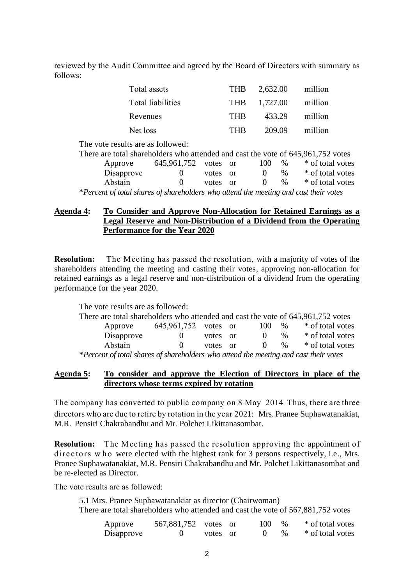reviewed by the Audit Committee and agreed by the Board of Directors with summary as follows:

| Total assets      | <b>THB</b>   | 2,632.00 | million |
|-------------------|--------------|----------|---------|
| Total liabilities | THB <b>F</b> | 1,727.00 | million |
| Revenues          | <b>THR</b>   | 433.29   | million |
| Net loss          | <b>THR</b>   | 209.09   | million |

The vote results are as followed: There are total shareholders who attended and cast the vote of 645,961,752 votes Approve  $645,961,752$  votes or  $100\%$  \* of total votes Disapprove 0 votes or 0 %  $*$  of total votes Abstain 0 votes or 0 % \* of total votes \**Percent of total shares of shareholders who attend the meeting and cast their votes*

### **Agenda 4: To Consider and Approve Non-Allocation for Retained Earnings as a Legal Reserve and Non-Distribution of a Dividend from the Operating Performance for the Year 2020**

**Resolution:** The Meeting has passed the resolution, with a majority of votes of the shareholders attending the meeting and casting their votes, approving non-allocation for retained earnings as a legal reserve and non-distribution of a dividend from the operating performance for the year 2020.

| The vote results are as followed:                                                    |                      |       |      |              |      |                  |
|--------------------------------------------------------------------------------------|----------------------|-------|------|--------------|------|------------------|
| There are total shareholders who attended and cast the vote of 645,961,752 votes     |                      |       |      |              |      |                  |
| Approve                                                                              | 645,961,752 votes or |       |      | 100          | $\%$ | * of total votes |
| Disapprove                                                                           |                      | votes | - or | $\theta$     | $\%$ | * of total votes |
| Abstain                                                                              |                      | votes | - or | $\mathbf{0}$ | $\%$ | * of total votes |
| *Percent of total shares of shareholders who attend the meeting and cast their votes |                      |       |      |              |      |                  |

#### **Agenda 5: To consider and approve the Election of Directors in place of the directors whose terms expired by rotation**

The company has converted to public company on 8 May 2014. Thus, there are three directors who are due to retire by rotation in the year 2021: Mrs. Pranee Suphawatanakiat, M.R. Pensiri Chakrabandhu and Mr. Polchet Likittanasombat.

**Resolution:** The M eeting has passed the resolution approving the appointment of directors who were elected with the highest rank for 3 persons respectively, i.e., Mrs. Pranee Suphawatanakiat, M.R. Pensiri Chakrabandhu and Mr. Polchet Likittanasombat and be re-elected as Director.

The vote results are as followed:

5.1 Mrs. Pranee Suphawatanakiat as director (Chairwoman) There are total shareholders who attended and cast the vote of 567,881,752 votes

| Approve    | 567,881,752 votes or |          | $100 - %$ |               | * of total votes |
|------------|----------------------|----------|-----------|---------------|------------------|
| Disapprove |                      | votes or |           | $\frac{0}{6}$ | * of total votes |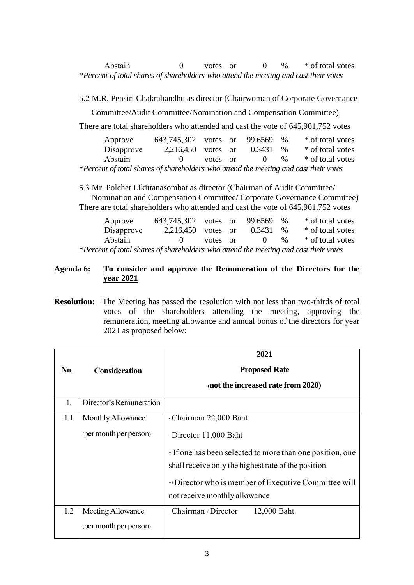Abstain 0 votes or 0 % \* of total votes \**Percent of total shares of shareholders who attend the meeting and cast their votes*

5.2 M.R. Pensiri Chakrabandhu as director (Chairwoman of Corporate Governance Committee/Audit Committee/Nomination and Compensation Committee) There are total shareholders who attended and cast the vote of 645,961,752 votes Approve 643,745,302 votes or 99.6569 % \* of total votes Disapprove 2,216,450 votes or  $0.3431\%$  \* of total votes Abstain 0 votes or 0 % \* of total votes

\**Percent of total shares of shareholders who attend the meeting and cast their votes*

5.3 Mr. Polchet Likittanasombat as director (Chairman of Audit Committee/ Nomination and Compensation Committee/ Corporate Governance Committee) There are total shareholders who attended and cast the vote of 645,961,752 votes

| Approve                                                                              | 643,745,302 votes or 99.6569 % |          |                   |      | * of total votes |
|--------------------------------------------------------------------------------------|--------------------------------|----------|-------------------|------|------------------|
| Disapprove                                                                           | 2,216,450 votes or             |          | $0.3431\degree$ % |      | * of total votes |
| Abstain                                                                              | $\mathbf{O}$                   | votes or | $\mathbf{0}$      | $\%$ | * of total votes |
| *Percent of total shares of shareholders who attend the meeting and cast their votes |                                |          |                   |      |                  |

### **Agenda 6: To consider and approve the Remuneration of the Directors for the year 2021**

**Resolution:** The Meeting has passed the resolution with not less than two-thirds of total votes of the shareholders attending the meeting, approving the remuneration, meeting allowance and annual bonus of the directors for year 2021 as proposed below:

|            |                         | 2021                                                                                                              |
|------------|-------------------------|-------------------------------------------------------------------------------------------------------------------|
| <b>No.</b> | <b>Consideration</b>    | <b>Proposed Rate</b>                                                                                              |
|            |                         | (not the increased rate from 2020)                                                                                |
| 1.         | Director's Remuneration |                                                                                                                   |
| 1.1        | Monthly Allowance       | - Chairman 22,000 Baht                                                                                            |
|            | (per month per person)  | - Director 11,000 Baht                                                                                            |
|            |                         | * If one has been selected to more than one position, one<br>shall receive only the highest rate of the position. |
|            |                         | **Director who is member of Executive Committee will<br>not receive monthly allowance                             |
| 1.2        | Meeting Allowance       | - Chairman / Director<br>12,000 Baht                                                                              |
|            | (per month per person)  |                                                                                                                   |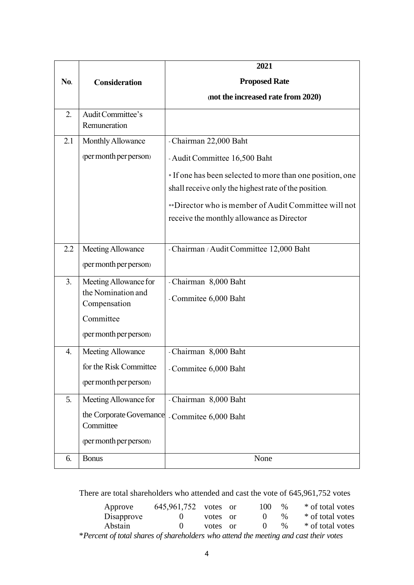|     |                          | 2021                                                      |
|-----|--------------------------|-----------------------------------------------------------|
| No. | <b>Consideration</b>     | <b>Proposed Rate</b>                                      |
|     |                          | (not the increased rate from 2020)                        |
| 2.  | Audit Committee's        |                                                           |
|     | Remuneration             |                                                           |
| 2.1 | Monthly Allowance        | - Chairman 22,000 Baht                                    |
|     | (per month per person)   | - Audit Committee 16,500 Baht                             |
|     |                          | * If one has been selected to more than one position, one |
|     |                          | shall receive only the highest rate of the position.      |
|     |                          | **Director who is member of Audit Committee will not      |
|     |                          | receive the monthly allowance as Director                 |
|     |                          |                                                           |
| 2.2 | Meeting Allowance        | - Chairman / Audit Committee 12,000 Baht                  |
|     | (per month per person)   |                                                           |
| 3.  | Meeting Allowance for    | - Chairman 8,000 Baht                                     |
|     | the Nomination and       | - Commitee 6,000 Baht                                     |
|     | Compensation             |                                                           |
|     | Committee                |                                                           |
|     | (per month per person)   |                                                           |
| 4.  | Meeting Allowance        | - Chairman 8,000 Baht                                     |
|     | for the Risk Committee   | Commitee 6,000 Baht                                       |
|     | (per month per person)   |                                                           |
| 5.  | Meeting Allowance for    | - Chairman 8,000 Baht                                     |
|     | the Corporate Governance | - Commitee 6,000 Baht                                     |
|     | Committee                |                                                           |
|     | (per month per person)   |                                                           |
| 6.  | <b>Bonus</b>             | None                                                      |

There are total shareholders who attended and cast the vote of 645,961,752 votes

| Approve                                                                              | 645,961,752 votes or |       |          | 100      | $\%$          | * of total votes |  |
|--------------------------------------------------------------------------------------|----------------------|-------|----------|----------|---------------|------------------|--|
| Disapprove                                                                           |                      | votes | or       | $\theta$ | $\%$          | * of total votes |  |
| Abstain                                                                              |                      | votes | $\alpha$ | $\theta$ | $\frac{0}{6}$ | * of total votes |  |
| *Percent of total shares of shareholders who attend the meeting and cast their votes |                      |       |          |          |               |                  |  |